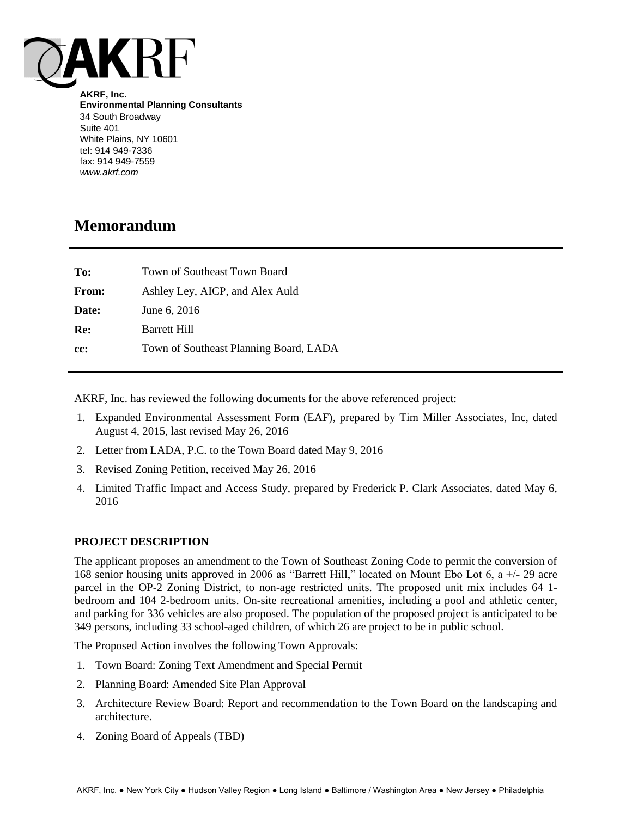

**AKRF, Inc. Environmental Planning Consultants** 34 South Broadway Suite 401 White Plains, NY 10601 tel: 914 949-7336 fax: 914 949-7559 *www.akrf.com*

# **Memorandum**

| To:   | Town of Southeast Town Board           |
|-------|----------------------------------------|
| From: | Ashley Ley, AICP, and Alex Auld        |
| Date: | June 6, 2016                           |
| Re:   | <b>Barrett Hill</b>                    |
| cc:   | Town of Southeast Planning Board, LADA |

AKRF, Inc. has reviewed the following documents for the above referenced project:

- 1. Expanded Environmental Assessment Form (EAF), prepared by Tim Miller Associates, Inc, dated August 4, 2015, last revised May 26, 2016
- 2. Letter from LADA, P.C. to the Town Board dated May 9, 2016
- 3. Revised Zoning Petition, received May 26, 2016
- 4. Limited Traffic Impact and Access Study, prepared by Frederick P. Clark Associates, dated May 6, 2016

# **PROJECT DESCRIPTION**

The applicant proposes an amendment to the Town of Southeast Zoning Code to permit the conversion of 168 senior housing units approved in 2006 as "Barrett Hill," located on Mount Ebo Lot 6, a +/- 29 acre parcel in the OP-2 Zoning District, to non-age restricted units. The proposed unit mix includes 64 1 bedroom and 104 2-bedroom units. On-site recreational amenities, including a pool and athletic center, and parking for 336 vehicles are also proposed. The population of the proposed project is anticipated to be 349 persons, including 33 school-aged children, of which 26 are project to be in public school.

The Proposed Action involves the following Town Approvals:

- 1. Town Board: Zoning Text Amendment and Special Permit
- 2. Planning Board: Amended Site Plan Approval
- 3. Architecture Review Board: Report and recommendation to the Town Board on the landscaping and architecture.
- 4. Zoning Board of Appeals (TBD)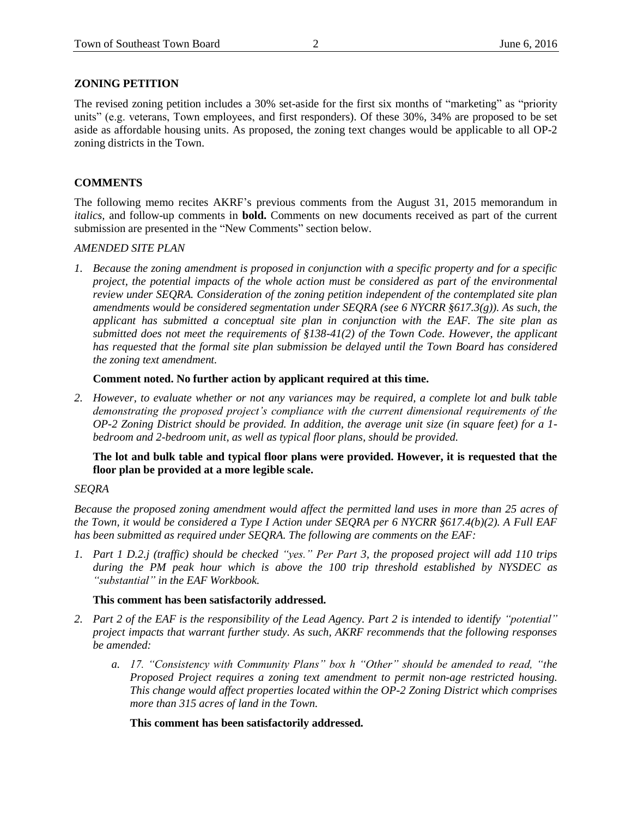# **ZONING PETITION**

The revised zoning petition includes a 30% set-aside for the first six months of "marketing" as "priority units" (e.g. veterans, Town employees, and first responders). Of these 30%, 34% are proposed to be set aside as affordable housing units. As proposed, the zoning text changes would be applicable to all OP-2 zoning districts in the Town.

# **COMMENTS**

The following memo recites AKRF's previous comments from the August 31, 2015 memorandum in *italics,* and follow-up comments in **bold.** Comments on new documents received as part of the current submission are presented in the "New Comments" section below.

### *AMENDED SITE PLAN*

*1. Because the zoning amendment is proposed in conjunction with a specific property and for a specific project, the potential impacts of the whole action must be considered as part of the environmental review under SEQRA. Consideration of the zoning petition independent of the contemplated site plan amendments would be considered segmentation under SEQRA (see 6 NYCRR §617.3(g)). As such, the applicant has submitted a conceptual site plan in conjunction with the EAF. The site plan as submitted does not meet the requirements of §138-41(2) of the Town Code. However, the applicant has requested that the formal site plan submission be delayed until the Town Board has considered the zoning text amendment.*

**Comment noted. No further action by applicant required at this time.**

*2. However, to evaluate whether or not any variances may be required, a complete lot and bulk table demonstrating the proposed project's compliance with the current dimensional requirements of the OP-2 Zoning District should be provided. In addition, the average unit size (in square feet) for a 1 bedroom and 2-bedroom unit, as well as typical floor plans, should be provided.*

# **The lot and bulk table and typical floor plans were provided. However, it is requested that the floor plan be provided at a more legible scale.**

# *SEQRA*

*Because the proposed zoning amendment would affect the permitted land uses in more than 25 acres of the Town, it would be considered a Type I Action under SEQRA per 6 NYCRR §617.4(b)(2). A Full EAF has been submitted as required under SEQRA. The following are comments on the EAF:*

*1. Part 1 D.2.j (traffic) should be checked "yes." Per Part 3, the proposed project will add 110 trips during the PM peak hour which is above the 100 trip threshold established by NYSDEC as "substantial" in the EAF Workbook.*

# **This comment has been satisfactorily addressed.**

- *2. Part 2 of the EAF is the responsibility of the Lead Agency. Part 2 is intended to identify "potential" project impacts that warrant further study. As such, AKRF recommends that the following responses be amended:*
	- *a. 17. "Consistency with Community Plans" box h "Other" should be amended to read, "the Proposed Project requires a zoning text amendment to permit non-age restricted housing. This change would affect properties located within the OP-2 Zoning District which comprises more than 315 acres of land in the Town.*

# **This comment has been satisfactorily addressed.**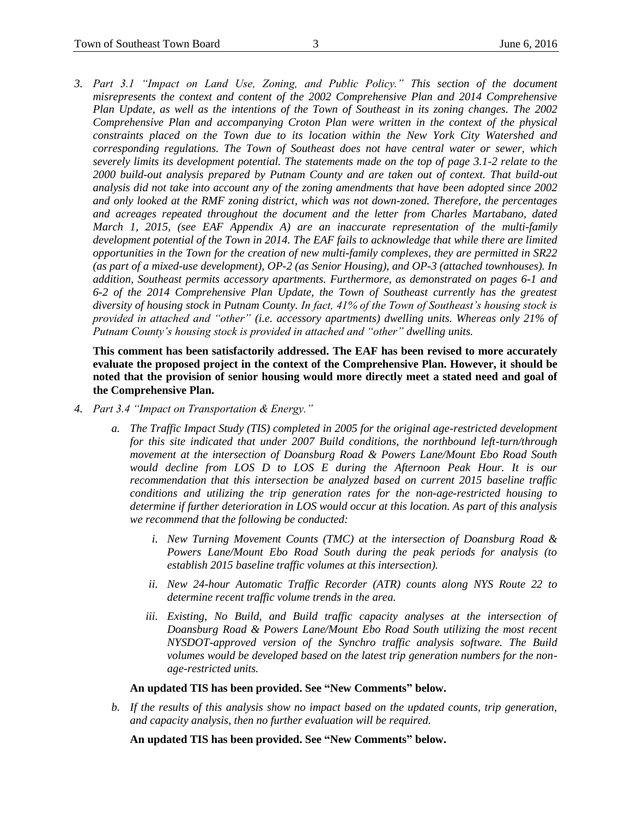*3. Part 3.1 "Impact on Land Use, Zoning, and Public Policy." This section of the document misrepresents the context and content of the 2002 Comprehensive Plan and 2014 Comprehensive Plan Update, as well as the intentions of the Town of Southeast in its zoning changes. The 2002 Comprehensive Plan and accompanying Croton Plan were written in the context of the physical constraints placed on the Town due to its location within the New York City Watershed and corresponding regulations. The Town of Southeast does not have central water or sewer, which severely limits its development potential. The statements made on the top of page 3.1-2 relate to the 2000 build-out analysis prepared by Putnam County and are taken out of context. That build-out analysis did not take into account any of the zoning amendments that have been adopted since 2002 and only looked at the RMF zoning district, which was not down-zoned. Therefore, the percentages and acreages repeated throughout the document and the letter from Charles Martabano, dated March 1, 2015, (see EAF Appendix A) are an inaccurate representation of the multi-family development potential of the Town in 2014. The EAF fails to acknowledge that while there are limited opportunities in the Town for the creation of new multi-family complexes, they are permitted in SR22 (as part of a mixed-use development), OP-2 (as Senior Housing), and OP-3 (attached townhouses). In addition, Southeast permits accessory apartments. Furthermore, as demonstrated on pages 6-1 and 6-2 of the 2014 Comprehensive Plan Update, the Town of Southeast currently has the greatest diversity of housing stock in Putnam County. In fact, 41% of the Town of Southeast's housing stock is provided in attached and "other" (i.e. accessory apartments) dwelling units. Whereas only 21% of Putnam County's housing stock is provided in attached and "other" dwelling units.*

**This comment has been satisfactorily addressed. The EAF has been revised to more accurately evaluate the proposed project in the context of the Comprehensive Plan. However, it should be noted that the provision of senior housing would more directly meet a stated need and goal of the Comprehensive Plan.**

- *4. Part 3.4 "Impact on Transportation & Energy."* 
	- *a. The Traffic Impact Study (TIS) completed in 2005 for the original age-restricted development for this site indicated that under 2007 Build conditions, the northbound left-turn/through movement at the intersection of Doansburg Road & Powers Lane/Mount Ebo Road South would decline from LOS D to LOS E during the Afternoon Peak Hour. It is our recommendation that this intersection be analyzed based on current 2015 baseline traffic conditions and utilizing the trip generation rates for the non-age-restricted housing to determine if further deterioration in LOS would occur at this location. As part of this analysis we recommend that the following be conducted:* 
		- *i. New Turning Movement Counts (TMC) at the intersection of Doansburg Road & Powers Lane/Mount Ebo Road South during the peak periods for analysis (to establish 2015 baseline traffic volumes at this intersection).*
		- *ii. New 24-hour Automatic Traffic Recorder (ATR) counts along NYS Route 22 to determine recent traffic volume trends in the area.*
		- iii. *Existing, No Build, and Build traffic capacity analyses at the intersection of Doansburg Road & Powers Lane/Mount Ebo Road South utilizing the most recent NYSDOT-approved version of the Synchro traffic analysis software. The Build volumes would be developed based on the latest trip generation numbers for the nonage-restricted units.*

#### **An updated TIS has been provided. See "New Comments" below.**

*b. If the results of this analysis show no impact based on the updated counts, trip generation, and capacity analysis, then no further evaluation will be required.*

**An updated TIS has been provided. See "New Comments" below.**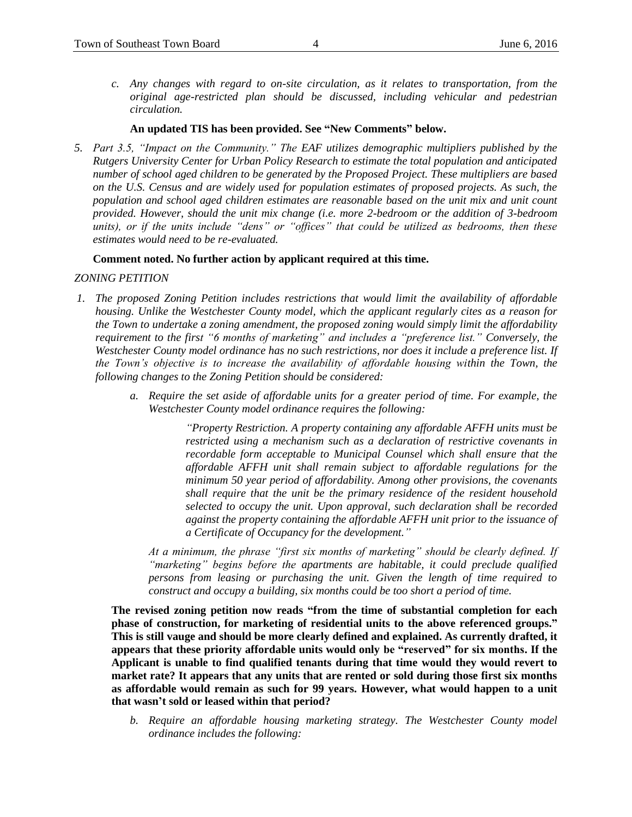*c. Any changes with regard to on-site circulation, as it relates to transportation, from the original age-restricted plan should be discussed, including vehicular and pedestrian circulation.*

# **An updated TIS has been provided. See "New Comments" below.**

*5. Part 3.5, "Impact on the Community." The EAF utilizes demographic multipliers published by the Rutgers University Center for Urban Policy Research to estimate the total population and anticipated number of school aged children to be generated by the Proposed Project. These multipliers are based on the U.S. Census and are widely used for population estimates of proposed projects. As such, the population and school aged children estimates are reasonable based on the unit mix and unit count provided. However, should the unit mix change (i.e. more 2-bedroom or the addition of 3-bedroom units), or if the units include "dens" or "offices" that could be utilized as bedrooms, then these estimates would need to be re-evaluated.*

# **Comment noted. No further action by applicant required at this time.**

### *ZONING PETITION*

- *1. The proposed Zoning Petition includes restrictions that would limit the availability of affordable housing. Unlike the Westchester County model, which the applicant regularly cites as a reason for the Town to undertake a zoning amendment, the proposed zoning would simply limit the affordability requirement to the first "6 months of marketing" and includes a "preference list." Conversely, the Westchester County model ordinance has no such restrictions, nor does it include a preference list. If the Town's objective is to increase the availability of affordable housing within the Town, the following changes to the Zoning Petition should be considered:*
	- *a. Require the set aside of affordable units for a greater period of time. For example, the Westchester County model ordinance requires the following:*

*"Property Restriction. A property containing any affordable AFFH units must be restricted using a mechanism such as a declaration of restrictive covenants in recordable form acceptable to Municipal Counsel which shall ensure that the affordable AFFH unit shall remain subject to affordable regulations for the minimum 50 year period of affordability. Among other provisions, the covenants shall require that the unit be the primary residence of the resident household selected to occupy the unit. Upon approval, such declaration shall be recorded against the property containing the affordable AFFH unit prior to the issuance of a Certificate of Occupancy for the development."*

*At a minimum, the phrase "first six months of marketing" should be clearly defined. If "marketing" begins before the apartments are habitable, it could preclude qualified persons from leasing or purchasing the unit. Given the length of time required to construct and occupy a building, six months could be too short a period of time.*

**The revised zoning petition now reads "from the time of substantial completion for each phase of construction, for marketing of residential units to the above referenced groups." This is still vauge and should be more clearly defined and explained. As currently drafted, it appears that these priority affordable units would only be "reserved" for six months. If the Applicant is unable to find qualified tenants during that time would they would revert to market rate? It appears that any units that are rented or sold during those first six months as affordable would remain as such for 99 years. However, what would happen to a unit that wasn't sold or leased within that period?**

*b. Require an affordable housing marketing strategy. The Westchester County model ordinance includes the following:*